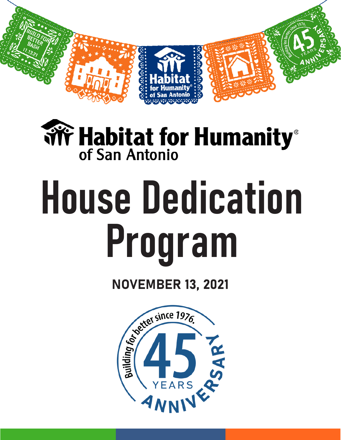

# **Wr Habitat for Humanity**® of San Antonio

# House Dedication Program

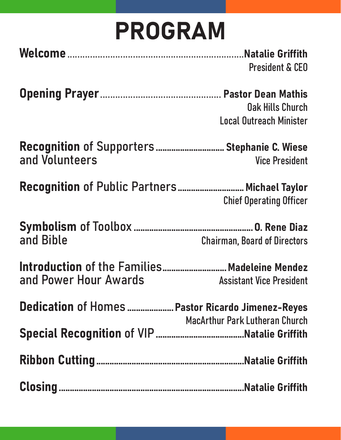### PROGRAM

| <b>President &amp; CEO</b> |
|----------------------------|

Opening Prayer................................................ Pastor Dean Mathis

Oak Hills Church Local Outreach Minister

Recognition of Supporters................................. Stephanie C. Wiese and Volunteers Vice President

Recognition of Public Partners............................... Michael Taylor Chief Operating Officer

Symbolism of Toolbox ......................................................O. Rene Diaz **Chairman, Board of Directors** 

Introduction of the Families.............................Madeleine Mendez and Power Hour Awards Assistant Vice President

Dedication of Homes .....................Pastor Ricardo Jimenez-Reyes MacArthur Park Lutheran Church Special Recognition of VIP........................................Natalie Griffith

Ribbon Cutting...................................................................Natalie Griffith

Closing....................................................................................Natalie Griffith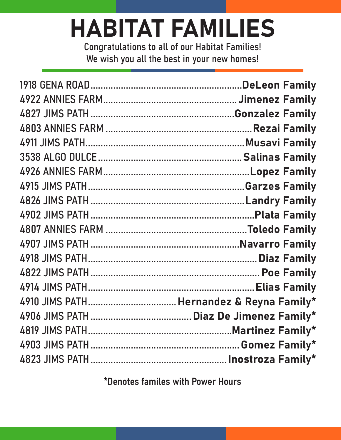### HABITAT FAMILIES

Congratulations to all of our Habitat Families! We wish you all the best in your new homes!

\*Denotes familes with Power Hours